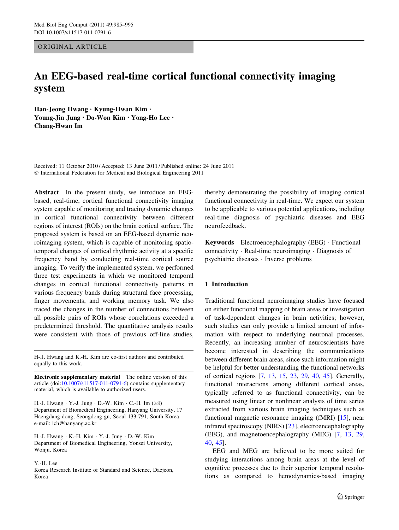ORIGINAL ARTICLE

# An EEG-based real-time cortical functional connectivity imaging system

Han-Jeong Hwang • Kyung-Hwan Kim • Young-Jin Jung • Do-Won Kim • Yong-Ho Lee • Chang-Hwan Im

Received: 11 October 2010 / Accepted: 13 June 2011 / Published online: 24 June 2011 - International Federation for Medical and Biological Engineering 2011

Abstract In the present study, we introduce an EEGbased, real-time, cortical functional connectivity imaging system capable of monitoring and tracing dynamic changes in cortical functional connectivity between different regions of interest (ROIs) on the brain cortical surface. The proposed system is based on an EEG-based dynamic neuroimaging system, which is capable of monitoring spatiotemporal changes of cortical rhythmic activity at a specific frequency band by conducting real-time cortical source imaging. To verify the implemented system, we performed three test experiments in which we monitored temporal changes in cortical functional connectivity patterns in various frequency bands during structural face processing, finger movements, and working memory task. We also traced the changes in the number of connections between all possible pairs of ROIs whose correlations exceeded a predetermined threshold. The quantitative analysis results were consistent with those of previous off-line studies,

H-.J. Hwang and K.-H. Kim are co-first authors and contributed equally to this work.

Electronic supplementary material The online version of this article (doi:[10.1007/s11517-011-0791-6\)](http://dx.doi.org/10.1007/s11517-011-0791-6) contains supplementary material, which is available to authorized users.

H.-J. Hwang · Y.-J. Jung · D.-W. Kim · C.-H. Im (⊠) Department of Biomedical Engineering, Hanyang University, 17 Haengdang-dong, Seongdong-gu, Seoul 133-791, South Korea e-mail: ich@hanyang.ac.kr

H.-J. Hwang - K.-H. Kim - Y.-J. Jung - D.-W. Kim Department of Biomedical Engineering, Yonsei University, Wonju, Korea

Y.-H. Lee

Korea Research Institute of Standard and Science, Daejeon, Korea

thereby demonstrating the possibility of imaging cortical functional connectivity in real-time. We expect our system to be applicable to various potential applications, including real-time diagnosis of psychiatric diseases and EEG neurofeedback.

Keywords Electroencephalography (EEG) - Functional connectivity - Real-time neuroimaging - Diagnosis of psychiatric diseases - Inverse problems

### 1 Introduction

Traditional functional neuroimaging studies have focused on either functional mapping of brain areas or investigation of task-dependent changes in brain activities; however, such studies can only provide a limited amount of information with respect to underlying neuronal processes. Recently, an increasing number of neuroscientists have become interested in describing the communications between different brain areas, since such information might be helpful for better understanding the functional networks of cortical regions [\[7](#page-9-0), [13,](#page-9-0) [15,](#page-9-0) [23](#page-9-0), [29,](#page-9-0) [40](#page-10-0), [45](#page-10-0)]. Generally, functional interactions among different cortical areas, typically referred to as functional connectivity, can be measured using linear or nonlinear analysis of time series extracted from various brain imaging techniques such as functional magnetic resonance imaging (fMRI) [\[15](#page-9-0)], near infrared spectroscopy (NIRS) [\[23](#page-9-0)], electroencephalography (EEG), and magnetoencephalography (MEG) [[7,](#page-9-0) [13,](#page-9-0) [29,](#page-9-0) [40](#page-10-0), [45\]](#page-10-0).

EEG and MEG are believed to be more suited for studying interactions among brain areas at the level of cognitive processes due to their superior temporal resolutions as compared to hemodynamics-based imaging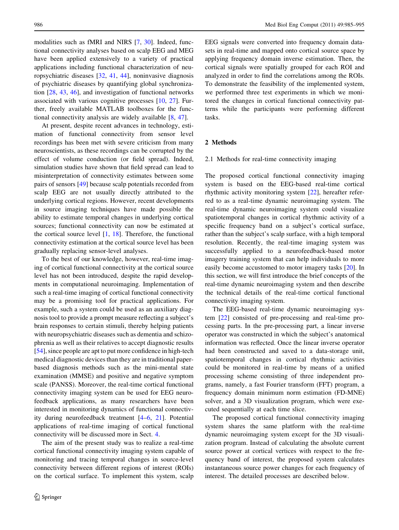modalities such as fMRI and NIRS [\[7](#page-9-0), [30](#page-9-0)]. Indeed, functional connectivity analyses based on scalp EEG and MEG have been applied extensively to a variety of practical applications including functional characterization of neuropsychiatric diseases [\[32](#page-9-0), [41](#page-10-0), [44\]](#page-10-0), noninvasive diagnosis of psychiatric diseases by quantifying global synchronization [\[28](#page-9-0), [43](#page-10-0), [46\]](#page-10-0), and investigation of functional networks associated with various cognitive processes [\[10](#page-9-0), [27\]](#page-9-0). Further, freely available MATLAB toolboxes for the functional connectivity analysis are widely available [[8,](#page-9-0) [47\]](#page-10-0).

At present, despite recent advances in technology, estimation of functional connectivity from sensor level recordings has been met with severe criticism from many neuroscientists, as these recordings can be corrupted by the effect of volume conduction (or field spread). Indeed, simulation studies have shown that field spread can lead to misinterpretation of connectivity estimates between some pairs of sensors [\[49](#page-10-0)] because scalp potentials recorded from scalp EEG are not usually directly attributed to the underlying cortical regions. However, recent developments in source imaging techniques have made possible the ability to estimate temporal changes in underlying cortical sources; functional connectivity can now be estimated at the cortical source level  $[1, 18]$  $[1, 18]$  $[1, 18]$  $[1, 18]$ . Therefore, the functional connectivity estimation at the cortical source level has been gradually replacing sensor-level analyses.

To the best of our knowledge, however, real-time imaging of cortical functional connectivity at the cortical source level has not been introduced, despite the rapid developments in computational neuroimaging. Implementation of such a real-time imaging of cortical functional connectivity may be a promising tool for practical applications. For example, such a system could be used as an auxiliary diagnosis tool to provide a prompt measure reflecting a subject's brain responses to certain stimuli, thereby helping patients with neuropsychiatric diseases such as dementia and schizophrenia as well as their relatives to accept diagnostic results [\[54](#page-10-0)], since people are apt to put more confidence in high-tech medical diagnostic devices than they are in traditional paperbased diagnosis methods such as the mini-mental state examination (MMSE) and positive and negative symptom scale (PANSS). Moreover, the real-time cortical functional connectivity imaging system can be used for EEG neurofeedback applications, as many researchers have been interested in monitoring dynamics of functional connectivity during neurofeedback treatment [\[4–6](#page-9-0), [21](#page-9-0)]. Potential applications of real-time imaging of cortical functional connectivity will be discussed more in Sect. [4.](#page-7-0)

The aim of the present study was to realize a real-time cortical functional connectivity imaging system capable of monitoring and tracing temporal changes in source-level connectivity between different regions of interest (ROIs) on the cortical surface. To implement this system, scalp EEG signals were converted into frequency domain datasets in real-time and mapped onto cortical source space by applying frequency domain inverse estimation. Then, the cortical signals were spatially grouped for each ROI and analyzed in order to find the correlations among the ROIs. To demonstrate the feasibility of the implemented system, we performed three test experiments in which we monitored the changes in cortical functional connectivity patterns while the participants were performing different tasks.

#### 2 Methods

#### 2.1 Methods for real-time connectivity imaging

The proposed cortical functional connectivity imaging system is based on the EEG-based real-time cortical rhythmic activity monitoring system [\[22](#page-9-0)], hereafter referred to as a real-time dynamic neuroimaging system. The real-time dynamic neuroimaging system could visualize spatiotemporal changes in cortical rhythmic activity of a specific frequency band on a subject's cortical surface, rather than the subject's scalp surface, with a high temporal resolution. Recently, the real-time imaging system was successfully applied to a neurofeedback-based motor imagery training system that can help individuals to more easily become accustomed to motor imagery tasks [\[20](#page-9-0)]. In this section, we will first introduce the brief concepts of the real-time dynamic neuroimaging system and then describe the technical details of the real-time cortical functional connectivity imaging system.

The EEG-based real-time dynamic neuroimaging system [\[22](#page-9-0)] consisted of pre-processing and real-time processing parts. In the pre-processing part, a linear inverse operator was constructed in which the subject's anatomical information was reflected. Once the linear inverse operator had been constructed and saved to a data-storage unit, spatiotemporal changes in cortical rhythmic activities could be monitored in real-time by means of a unified processing scheme consisting of three independent programs, namely, a fast Fourier transform (FFT) program, a frequency domain minimum norm estimation (FD-MNE) solver, and a 3D visualization program, which were executed sequentially at each time slice.

The proposed cortical functional connectivity imaging system shares the same platform with the real-time dynamic neuroimaging system except for the 3D visualization program. Instead of calculating the absolute current source power at cortical vertices with respect to the frequency band of interest, the proposed system calculates instantaneous source power changes for each frequency of interest. The detailed processes are described below.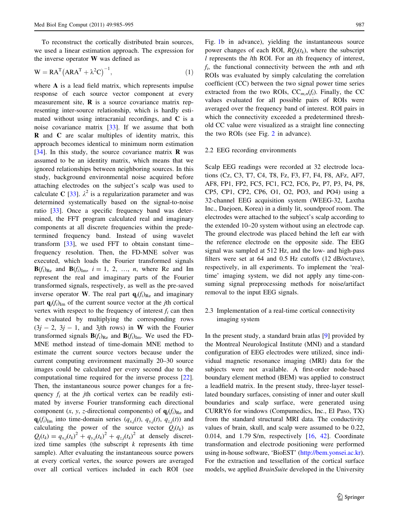To reconstruct the cortically distributed brain sources, we used a linear estimation approach. The expression for the inverse operator W was defined as

$$
W = RA^{T} (ARA^{T} + \lambda^{2} C)^{-1}, \qquad (1)
$$

where A is a lead field matrix, which represents impulse response of each source vector component at every measurement site,  $\bf{R}$  is a source covariance matrix representing inter-source relationship, which is hardly estimated without using intracranial recordings, and C is a noise covariance matrix [[33\]](#page-9-0). If we assume that both R and C are scalar multiples of identity matrix, this approach becomes identical to minimum norm estimation [\[34](#page-9-0)]. In this study, the source covariance matrix  **was** assumed to be an identity matrix, which means that we ignored relationships between neighboring sources. In this study, background environmental noise acquired before attaching electrodes on the subject's scalp was used to calculate C [\[33](#page-9-0)].  $\lambda^2$  is a regularization parameter and was determined systematically based on the signal-to-noise ratio [[33](#page-9-0)]. Once a specific frequency band was determined, the FFT program calculated real and imaginary components at all discrete frequencies within the predetermined frequency band. Instead of using wavelet transform [[33\]](#page-9-0), we used FFT to obtain constant time– frequency resolution. Then, the FD-MNE solver was executed, which loads the Fourier transformed signals  $\mathbf{B}(f_i)_{\text{Re}}$  and  $\mathbf{B}(f_i)_{\text{Im}}$ ,  $i = 1, 2, ..., n$ , where Re and Im represent the real and imaginary parts of the Fourier transformed signals, respectively, as well as the pre-saved inverse operator W. The real part  $q_i(f_i)_{\text{Re}}$  and imaginary part  $\mathbf{q}_i(f_i)_{\text{Im}}$  of the current source vector at the jth cortical vertex with respect to the frequency of interest  $f_i$  can then be evaluated by multiplying the corresponding rows  $(3j - 2, 3j - 1,$  and 3jth rows) in W with the Fourier transformed signals  $\mathbf{B}(f_i)_{\text{Re}}$  and  $\mathbf{B}(f_i)_{\text{Im}}$ . We used the FD-MNE method instead of time-domain MNE method to estimate the current source vectors because under the current computing environment maximally 20–30 source images could be calculated per every second due to the computational time required for the inverse process [\[22](#page-9-0)]. Then, the instantaneous source power changes for a frequency  $f_i$  at the jth cortical vertex can be readily estimated by inverse Fourier transforming each directional component  $(x, y, z$ -directional components) of  $q_i(f_i)_{Re}$  and  $q_j(f_i)_{\text{Im}}$  into time-domain series  $(q_{x,j}(t), q_{y,j}(t), q_{z,j}(t))$  and calculating the power of the source vector  $Q_i(t_k)$  as  $Q_j(t_k) = q_{x,j}(t_k)^2 + q_{y,j}(t_k)^2 + q_{z,j}(t_k)^2$  at densely discretized time samples (the subscript  $k$  represents  $k$ th time sample). After evaluating the instantaneous source powers at every cortical vertex, the source powers are averaged over all cortical vertices included in each ROI (see Fig. [1](#page-3-0)b in advance), yielding the instantaneous source power changes of each ROI,  $RQ_l(t_k)$ , where the subscript l represents the lth ROI. For an ith frequency of interest,  $f_i$ , the functional connectivity between the *mth* and *nth* ROIs was evaluated by simply calculating the correlation coefficient (CC) between the two signal power time series extracted from the two ROIs,  $CC_{m,n}(f_i)$ . Finally, the CC values evaluated for all possible pairs of ROIs were averaged over the frequency band of interest. ROI pairs in which the connectivity exceeded a predetermined threshold CC value were visualized as a straight line connecting the two ROIs (see Fig. [2](#page-3-0) in advance).

## 2.2 EEG recording environments

Scalp EEG readings were recorded at 32 electrode locations (Cz, C3, T7, C4, T8, Fz, F3, F7, F4, F8, AFz, AF7, AF8, FP1, FP2, FC5, FC1, FC2, FC6, Pz, P7, P3, P4, P8, CP5, CP1, CP2, CP6, O1, O2, PO3, and PO4) using a 32-channel EEG acquisition system (WEEG-32, Laxtha Inc., Daejoen, Korea) in a dimly lit, soundproof room. The electrodes were attached to the subject's scalp according to the extended 10–20 system without using an electrode cap. The ground electrode was placed behind the left ear with the reference electrode on the opposite side. The EEG signal was sampled at 512 Hz, and the low- and high-pass filters were set at 64 and 0.5 Hz cutoffs (12 dB/octave), respectively, in all experiments. To implement the 'realtime' imaging system, we did not apply any time-consuming signal preprocessing methods for noise/artifact removal to the input EEG signals.

2.3 Implementation of a real-time cortical connectivity imaging system

In the present study, a standard brain atlas [\[9](#page-9-0)] provided by the Montreal Neurological Institute (MNI) and a standard configuration of EEG electrodes were utilized, since individual magnetic resonance imaging (MRI) data for the subjects were not available. A first-order node-based boundary element method (BEM) was applied to construct a leadfield matrix. In the present study, three-layer tessellated boundary surfaces, consisting of inner and outer skull boundaries and scalp surface, were generated using CURRY6 for windows (Compumedics, Inc., El Paso, TX) from the standard structural MRI data. The conductivity values of brain, skull, and scalp were assumed to be 0.22, 0.014, and 1.79 S/m, respectively [[16,](#page-9-0) [42](#page-10-0)]. Coordinate transformation and electrode positioning were performed using in-house software, 'BioEST' [\(http://bem.yonsei.ac.kr\)](http://bem.yonsei.ac.kr). For the extraction and tessellation of the cortical surface models, we applied *BrainSuite* developed in the University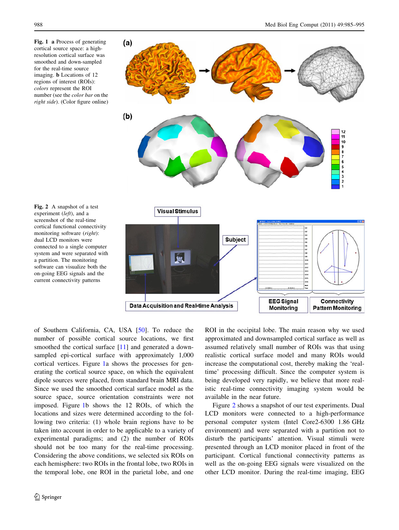<span id="page-3-0"></span>Fig. 1 a Process of generating cortical source space: a highresolution cortical surface was smoothed and down-sampled for the real-time source imaging. b Locations of 12 regions of interest (ROIs): colors represent the ROI number (see the color bar on the right side). (Color figure online)



Fig. 2 A snapshot of a test experiment (left), and a screenshot of the real-time cortical functional connectivity monitoring software (right): dual LCD monitors were connected to a single computer system and were separated with a partition. The monitoring software can visualize both the on-going EEG signals and the current connectivity patterns

of Southern California, CA, USA [\[50](#page-10-0)]. To reduce the number of possible cortical source locations, we first smoothed the cortical surface [[11\]](#page-9-0) and generated a downsampled epi-cortical surface with approximately 1,000 cortical vertices. Figure 1a shows the processes for generating the cortical source space, on which the equivalent dipole sources were placed, from standard brain MRI data. Since we used the smoothed cortical surface model as the source space, source orientation constraints were not imposed. Figure 1b shows the 12 ROIs, of which the locations and sizes were determined according to the following two criteria: (1) whole brain regions have to be taken into account in order to be applicable to a variety of experimental paradigms; and (2) the number of ROIs should not be too many for the real-time processing. Considering the above conditions, we selected six ROIs on each hemisphere: two ROIs in the frontal lobe, two ROIs in the temporal lobe, one ROI in the parietal lobe, and one

ROI in the occipital lobe. The main reason why we used approximated and downsampled cortical surface as well as assumed relatively small number of ROIs was that using realistic cortical surface model and many ROIs would increase the computational cost, thereby making the 'realtime' processing difficult. Since the computer system is being developed very rapidly, we believe that more realistic real-time connectivity imaging system would be available in the near future.

Figure 2 shows a snapshot of our test experiments. Dual LCD monitors were connected to a high-performance personal computer system (Intel Core2-6300 1.86 GHz environment) and were separated with a partition not to disturb the participants' attention. Visual stimuli were presented through an LCD monitor placed in front of the participant. Cortical functional connectivity patterns as well as the on-going EEG signals were visualized on the other LCD monitor. During the real-time imaging, EEG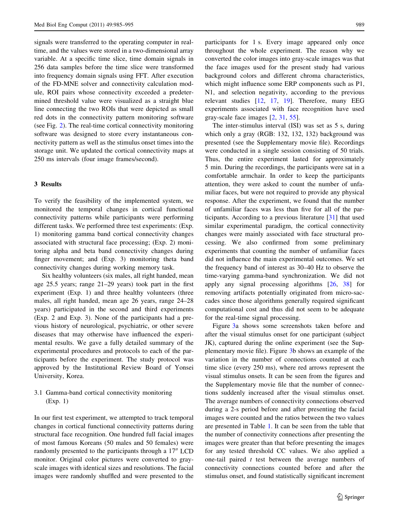signals were transferred to the operating computer in realtime, and the values were stored in a two-dimensional array variable. At a specific time slice, time domain signals in 256 data samples before the time slice were transformed into frequency domain signals using FFT. After execution of the FD-MNE solver and connectivity calculation module, ROI pairs whose connectivity exceeded a predetermined threshold value were visualized as a straight blue line connecting the two ROIs that were depicted as small red dots in the connectivity pattern monitoring software (see Fig. [2\)](#page-3-0). The real-time cortical connectivity monitoring software was designed to store every instantaneous connectivity pattern as well as the stimulus onset times into the storage unit. We updated the cortical connectivity maps at 250 ms intervals (four image frames/second).

#### 3 Results

To verify the feasibility of the implemented system, we monitored the temporal changes in cortical functional connectivity patterns while participants were performing different tasks. We performed three test experiments: (Exp. 1) monitoring gamma band cortical connectivity changes associated with structural face processing; (Exp. 2) monitoring alpha and beta band connectivity changes during finger movement; and (Exp. 3) monitoring theta band connectivity changes during working memory task.

Six healthy volunteers (six males, all right handed, mean age 25.5 years; range 21–29 years) took part in the first experiment (Exp. 1) and three healthy volunteers (three males, all right handed, mean age 26 years, range 24–28 years) participated in the second and third experiments (Exp. 2 and Exp. 3). None of the participants had a previous history of neurological, psychiatric, or other severe diseases that may otherwise have influenced the experimental results. We gave a fully detailed summary of the experimental procedures and protocols to each of the participants before the experiment. The study protocol was approved by the Institutional Review Board of Yonsei University, Korea.

# 3.1 Gamma-band cortical connectivity monitoring (Exp. 1)

In our first test experiment, we attempted to track temporal changes in cortical functional connectivity patterns during structural face recognition. One hundred full facial images of most famous Koreans (50 males and 50 females) were randomly presented to the participants through a  $17<sup>′</sup>$  LCD monitor. Original color pictures were converted to grayscale images with identical sizes and resolutions. The facial images were randomly shuffled and were presented to the participants for 1 s. Every image appeared only once throughout the whole experiment. The reason why we converted the color images into gray-scale images was that the face images used for the present study had various background colors and different chroma characteristics, which might influence some ERP components such as P1, N1, and selection negativity, according to the previous relevant studies [[12,](#page-9-0) [17,](#page-9-0) [19](#page-9-0)]. Therefore, many EEG experiments associated with face recognition have used gray-scale face images [[2,](#page-9-0) [31,](#page-9-0) [55](#page-10-0)].

The inter-stimulus interval (ISI) was set as 5 s, during which only a gray (RGB: 132, 132, 132) background was presented (see the Supplementary movie file). Recordings were conducted in a single session consisting of 50 trials. Thus, the entire experiment lasted for approximately 5 min. During the recordings, the participants were sat in a comfortable armchair. In order to keep the participants attention, they were asked to count the number of unfamiliar faces, but were not required to provide any physical response. After the experiment, we found that the number of unfamiliar faces was less than five for all of the participants. According to a previous literature [[31\]](#page-9-0) that used similar experimental paradigm, the cortical connectivity changes were mainly associated with face structural processing. We also confirmed from some preliminary experiments that counting the number of unfamiliar faces did not influence the main experimental outcomes. We set the frequency band of interest as 30–40 Hz to observe the time-varying gamma-band synchronization. We did not apply any signal processing algorithms [\[26](#page-9-0), [38\]](#page-10-0) for removing artifacts potentially originated from micro-saccades since those algorithms generally required significant computational cost and thus did not seem to be adequate for the real-time signal processing.

Figure [3a](#page-6-0) shows some screenshots taken before and after the visual stimulus onset for one participant (subject JK), captured during the online experiment (see the Supplementary movie file). Figure [3](#page-6-0)b shows an example of the variation in the number of connections counted at each time slice (every 250 ms), where red arrows represent the visual stimulus onsets. It can be seen from the figures and the Supplementary movie file that the number of connections suddenly increased after the visual stimulus onset. The average numbers of connectivity connections observed during a 2-s period before and after presenting the facial images were counted and the ratios between the two values are presented in Table [1.](#page-6-0) It can be seen from the table that the number of connectivity connections after presenting the images were greater than that before presenting the images for any tested threshold CC values. We also applied a one-tail paired  $t$  test between the average numbers of connectivity connections counted before and after the stimulus onset, and found statistically significant increment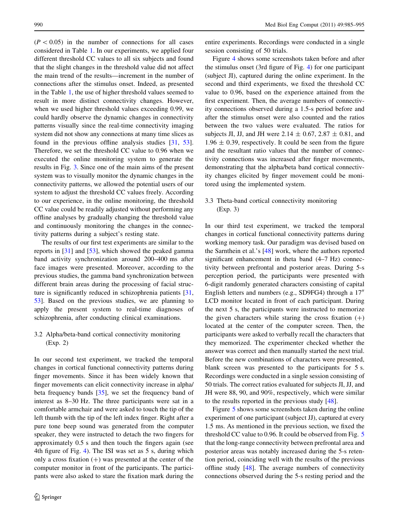$(P<0.05)$  in the number of connections for all cases considered in Table [1.](#page-6-0) In our experiments, we applied four different threshold CC values to all six subjects and found that the slight changes in the threshold value did not affect the main trend of the results—increment in the number of connections after the stimulus onset. Indeed, as presented in the Table [1](#page-6-0), the use of higher threshold values seemed to result in more distinct connectivity changes. However, when we used higher threshold values exceeding 0.99, we could hardly observe the dynamic changes in connectivity patterns visually since the real-time connectivity imaging system did not show any connections at many time slices as found in the previous offline analysis studies [[31](#page-9-0), [53](#page-10-0)]. Therefore, we set the threshold CC value to 0.96 when we executed the online monitoring system to generate the results in Fig. [3.](#page-6-0) Since one of the main aims of the present system was to visually monitor the dynamic changes in the connectivity patterns, we allowed the potential users of our system to adjust the threshold CC values freely. According to our experience, in the online monitoring, the threshold CC value could be readily adjusted without performing any offline analyses by gradually changing the threshold value and continuously monitoring the changes in the connectivity patterns during a subject's resting state.

The results of our first test experiments are similar to the reports in [[31\]](#page-9-0) and [\[53](#page-10-0)], which showed the peaked gamma band activity synchronization around 200–400 ms after face images were presented. Moreover, according to the previous studies, the gamma band synchronization between different brain areas during the processing of facial structure is significantly reduced in schizophrenia patients [[31,](#page-9-0) [53](#page-10-0)]. Based on the previous studies, we are planning to apply the present system to real-time diagnoses of schizophrenia, after conducting clinical examinations.

## 3.2 Alpha/beta-band cortical connectivity monitoring (Exp. 2)

In our second test experiment, we tracked the temporal changes in cortical functional connectivity patterns during finger movements. Since it has been widely known that finger movements can elicit connectivity increase in alpha/ beta frequency bands [\[35](#page-9-0)], we set the frequency band of interest as 8–30 Hz. The three participants were sat in a comfortable armchair and were asked to touch the tip of the left thumb with the tip of the left index finger. Right after a pure tone beep sound was generated from the computer speaker, they were instructed to detach the two fingers for approximately 0.5 s and then touch the fingers again (see 4th figure of Fig. [4](#page-7-0)). The ISI was set as 5 s, during which only a cross fixation  $(+)$  was presented at the center of the computer monitor in front of the participants. The participants were also asked to stare the fixation mark during the entire experiments. Recordings were conducted in a single session consisting of 50 trials.

Figure [4](#page-7-0) shows some screenshots taken before and after the stimulus onset (3rd figure of Fig. [4](#page-7-0)) for one participant (subject JI), captured during the online experiment. In the second and third experiments, we fixed the threshold CC value to 0.96, based on the experience attained from the first experiment. Then, the average numbers of connectivity connections observed during a 1.5-s period before and after the stimulus onset were also counted and the ratios between the two values were evaluated. The ratios for subjects JI, JJ, and JH were 2.14  $\pm$  0.67, 2.87  $\pm$  0.81, and  $1.96 \pm 0.39$ , respectively. It could be seen from the figure and the resultant ratio values that the number of connectivity connections was increased after finger movements, demonstrating that the alpha/beta band cortical connectivity changes elicited by finger movement could be monitored using the implemented system.

3.3 Theta-band cortical connectivity monitoring (Exp. 3)

In our third test experiment, we tracked the temporal changes in cortical functional connectivity patterns during working memory task. Our paradigm was devised based on the Sarnthein et al.'s [\[48](#page-10-0)] work, where the authors reported significant enhancement in theta band (4–7 Hz) connectivity between prefrontal and posterior areas. During 5-s perception period, the participants were presented with 6-digit randomly generated characters consisting of capital English letters and numbers (e.g., SD9FG4) through a  $17$ <sup>"</sup> LCD monitor located in front of each participant. During the next 5 s, the participants were instructed to memorize the given characters while staring the cross fixation  $(+)$ located at the center of the computer screen. Then, the participants were asked to verbally recall the characters that they memorized. The experimenter checked whether the answer was correct and then manually started the next trial. Before the new combinations of characters were presented, blank screen was presented to the participants for 5 s. Recordings were conducted in a single session consisting of 50 trials. The correct ratios evaluated for subjects JI, JJ, and JH were 88, 90, and 90%, respectively, which were similar to the results reported in the previous study [\[48](#page-10-0)].

Figure [5](#page-7-0) shows some screenshots taken during the online experiment of one participant (subject JJ), captured at every 1.5 ms. As mentioned in the previous section, we fixed the threshold CC value to 0.96. It could be observed from Fig. [5](#page-7-0) that the long-range connectivity between prefrontal area and posterior areas was notably increased during the 5-s retention period, coinciding well with the results of the previous offline study [\[48](#page-10-0)]. The average numbers of connectivity connections observed during the 5-s resting period and the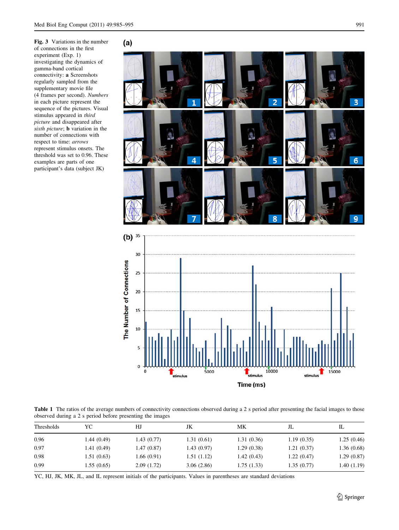<span id="page-6-0"></span>Fig. 3 Variations in the number of connections in the first experiment (Exp. 1) investigating the dynamics of gamma-band cortical connectivity: a Screenshots regularly sampled from the supplementary movie file (4 frames per second). Numbers in each picture represent the sequence of the pictures. Visual stimulus appeared in third picture and disappeared after sixth picture; **b** variation in the number of connections with respect to time: arrows represent stimulus onsets. The threshold was set to 0.96. These examples are parts of one participant's data (subject JK)



Table 1 The ratios of the average numbers of connectivity connections observed during a 2 s period after presenting the facial images to those observed during a 2 s period before presenting the images

etimulus

 $5000$ 

0000

ulus Time (ms)

| Thresholds | YС          | НJ         | JK         | МK         | JL         | IL         |
|------------|-------------|------------|------------|------------|------------|------------|
| 0.96       | 1.44 (0.49) | 1.43(0.77) | 1.31(0.61) | 1.31(0.36) | 1.19(0.35) | 1.25(0.46) |
| 0.97       | 1.41(0.49)  | 1.47(0.87) | 1.43(0.97) | 1.29(0.38) | 1.21(0.37) | 1.36(0.68) |
| 0.98       | 1.51(0.63)  | 1.66(0.91) | 1.51(1.12) | 1.42(0.43) | 1.22(0.47) | 1.29(0.87) |
| 0.99       | 1.55(0.65)  | 2.09(1.72) | 3.06(2.86) | 1.75(1.33) | 1.35(0.77) | 1.40(1.19) |

YC, HJ, JK, MK, JL, and IL represent initials of the participants. Values in parentheses are standard deviations

15000

stimulus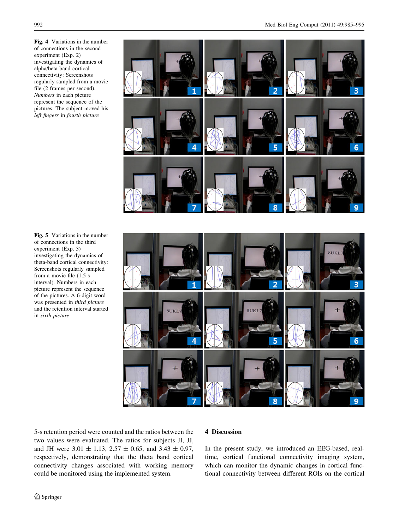Fig. 4 Variations in the number of connections in the second experiment (Exp. 2) investigating the dynamics of alpha/beta-band cortical connectivity: Screenshots regularly sampled from a movie file (2 frames per second). Numbers in each picture represent the sequence of the pictures. The subject moved his left fingers in fourth picture

<span id="page-7-0"></span>

Fig. 5 Variations in the number of connections in the third experiment (Exp. 3) investigating the dynamics of theta-band cortical connectivity: Screenshots regularly sampled from a movie file (1.5-s interval). Numbers in each picture represent the sequence of the pictures. A 6-digit word was presented in third picture and the retention interval started in sixth picture



5-s retention period were counted and the ratios between the two values were evaluated. The ratios for subjects JI, JJ, and JH were  $3.01 \pm 1.13$ ,  $2.57 \pm 0.65$ , and  $3.43 \pm 0.97$ , respectively, demonstrating that the theta band cortical connectivity changes associated with working memory could be monitored using the implemented system.

### 4 Discussion

In the present study, we introduced an EEG-based, realtime, cortical functional connectivity imaging system, which can monitor the dynamic changes in cortical functional connectivity between different ROIs on the cortical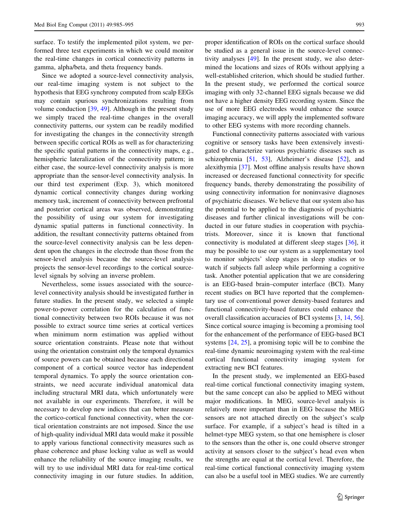surface. To testify the implemented pilot system, we performed three test experiments in which we could monitor the real-time changes in cortical connectivity patterns in gamma, alpha/beta, and theta frequency bands.

Since we adopted a source-level connectivity analysis, our real-time imaging system is not subject to the hypothesis that EEG synchrony computed from scalp EEGs may contain spurious synchronizations resulting from volume conduction [[39,](#page-10-0) [49](#page-10-0)]. Although in the present study we simply traced the real-time changes in the overall connectivity patterns, our system can be readily modified for investigating the changes in the connectivity strength between specific cortical ROIs as well as for characterizing the specific spatial patterns in the connectivity maps, e.g., hemispheric lateralization of the connectivity pattern; in either case, the source-level connectivity analysis is more appropriate than the sensor-level connectivity analysis. In our third test experiment (Exp. 3), which monitored dynamic cortical connectivity changes during working memory task, increment of connectivity between prefrontal and posterior cortical areas was observed, demonstrating the possibility of using our system for investigating dynamic spatial patterns in functional connectivity. In addition, the resultant connectivity patterns obtained from the source-level connectivity analysis can be less dependent upon the changes in the electrode than those from the sensor-level analysis because the source-level analysis projects the sensor-level recordings to the cortical sourcelevel signals by solving an inverse problem.

Nevertheless, some issues associated with the sourcelevel connectivity analysis should be investigated further in future studies. In the present study, we selected a simple power-to-power correlation for the calculation of functional connectivity between two ROIs because it was not possible to extract source time series at cortical vertices when minimum norm estimation was applied without source orientation constraints. Please note that without using the orientation constraint only the temporal dynamics of source powers can be obtained because each directional component of a cortical source vector has independent temporal dynamics. To apply the source orientation constraints, we need accurate individual anatomical data including structural MRI data, which unfortunately were not available in our experiments. Therefore, it will be necessary to develop new indices that can better measure the cortico-cortical functional connectivity, when the cortical orientation constraints are not imposed. Since the use of high-quality individual MRI data would make it possible to apply various functional connectivity measures such as phase coherence and phase locking value as well as would enhance the reliability of the source imaging results, we will try to use individual MRI data for real-time cortical connectivity imaging in our future studies. In addition, proper identification of ROIs on the cortical surface should be studied as a general issue in the source-level connectivity analyses [\[49](#page-10-0)]. In the present study, we also determined the locations and sizes of ROIs without applying a well-established criterion, which should be studied further. In the present study, we performed the cortical source imaging with only 32-channel EEG signals because we did not have a higher density EEG recording system. Since the use of more EEG electrodes would enhance the source imaging accuracy, we will apply the implemented software to other EEG systems with more recording channels.

Functional connectivity patterns associated with various cognitive or sensory tasks have been extensively investigated to characterize various psychiatric diseases such as schizophrenia [[51,](#page-10-0) [53\]](#page-10-0), Alzheimer's disease [[52](#page-10-0)], and alexithymia [[37\]](#page-10-0). Most offline analysis results have shown increased or decreased functional connectivity for specific frequency bands, thereby demonstrating the possibility of using connectivity information for noninvasive diagnoses of psychiatric diseases. We believe that our system also has the potential to be applied to the diagnosis of psychiatric diseases and further clinical investigations will be conducted in our future studies in cooperation with psychiatrists. Moreover, since it is known that functional connectivity is modulated at different sleep stages [\[36](#page-9-0)], it may be possible to use our system as a supplementary tool to monitor subjects' sleep stages in sleep studies or to watch if subjects fall asleep while performing a cognitive task. Another potential application that we are considering is an EEG-based brain–computer interface (BCI). Many recent studies on BCI have reported that the complementary use of conventional power density-based features and functional connectivity-based features could enhance the overall classification accuracies of BCI systems [\[3](#page-9-0), [14](#page-9-0), [56](#page-10-0)]. Since cortical source imaging is becoming a promising tool for the enhancement of the performance of EEG-based BCI systems [\[24](#page-9-0), [25\]](#page-9-0), a promising topic will be to combine the real-time dynamic neuroimaging system with the real-time cortical functional connectivity imaging system for extracting new BCI features.

In the present study, we implemented an EEG-based real-time cortical functional connectivity imaging system, but the same concept can also be applied to MEG without major modifications. In MEG, source-level analysis is relatively more important than in EEG because the MEG sensors are not attached directly on the subject's scalp surface. For example, if a subject's head is tilted in a helmet-type MEG system, so that one hemisphere is closer to the sensors than the other is, one could observe stronger activity at sensors closer to the subject's head even when the strengths are equal at the cortical level. Therefore, the real-time cortical functional connectivity imaging system can also be a useful tool in MEG studies. We are currently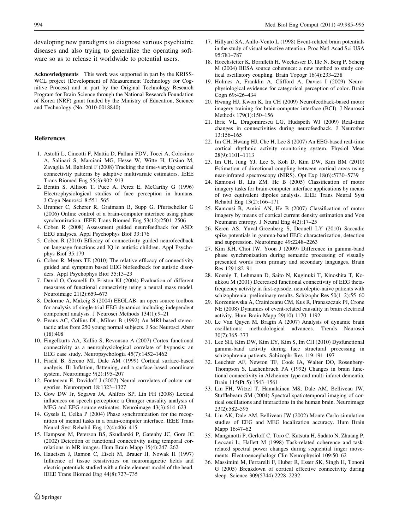<span id="page-9-0"></span>developing new paradigms to diagnose various psychiatric diseases and also trying to generalize the operating software so as to release it worldwide to potential users.

Acknowledgments This work was supported in part by the KRISS-WCL project (Development of Measurement Technology for Cognitive Process) and in part by the Original Technology Research Program for Brain Science through the National Research Foundation of Korea (NRF) grant funded by the Ministry of Education, Science and Technology (No. 2010-0018840)

#### References

- 1. Astolfi L, Cincotti F, Mattia D, Fallani FDV, Tocci A, Colosimo A, Salinari S, Marciani MG, Hesse W, Witte H, Ursino M, Zavaglia M, Babiloni F (2008) Tracking the time-varying cortical connectivity patterns by adaptive multivariate estimators. IEEE Trans Biomed Eng 55(3):902–913
- 2. Bentin S, Allison T, Puce A, Perez E, McCarthy G (1996) Electrophysiological studies of face perception in humans. J Cogn Neurosci 8:551–565
- 3. Brunner C, Scherer R, Graimann B, Supp G, Pfurtscheller G (2006) Online control of a brain-computer interface using phase synchronization. IEEE Trans Biomed Eng 53(12):2501–2506
- 4. Coben R (2008) Assessment guided neurofeedback for ASD: EEG analyses. Appl Psychophys Biof 33:176
- 5. Coben R (2010) Efficacy of connectivity guided neurofeedback on language functions and IQ in autistic children. Appl Psychophys Biof 35:179
- 6. Coben R, Myers TE (2010) The relative efficacy of connectivity guided and symptom based EEG biofeedback for autistic disorders. Appl Psychophys Biof 35:13–23
- 7. David O, Cosmelli D, Friston KJ (2004) Evaluation of different measures of functional connectivity using a neural mass model. Neuroimage 21(2):659–673
- 8. Delorme A, Makeig S (2004) EEGLAB: an open source toolbox for analysis of single-trial EEG dynamics including independent component analysis. J Neurosci Methods 134(1):9–21
- 9. Evans AC, Collins DL, Milner B (1992) An MRI-based stereotactic atlas from 250 young normal subjects. J Soc Neurosci Abstr (18):408
- 10. Fingelkurts AA, Kallio S, Revonsuo A (2007) Cortex functional connectivity as a neurophysiological correlate of hypnosis: an EEG case study. Neuropsychologia 45(7):1452–1462
- 11. Fischl B, Sereno MI, Dale AM (1999) Cortical surface-based analysis. II: Inflation, flattening, and a surface-based coordinate system. Neuroimage 9(2):195–207
- 12. Fonteneau E, Davidoff J (2007) Neural correlates of colour categories. Neuroreport 18:1323–1327
- 13. Gow DW Jr, Segawa JA, Ahlfors SP, Lin FH (2008) Lexical influences on speech perception: a Granger causality analysis of MEG and EEG source estimates. Neuroimage 43(3):614–623
- 14. Gysels E, Celka P (2004) Phase synchronization for the recognition of mental tasks in a brain-computer interface. IEEE Trans Neural Syst Rehabil Eng 12(4):406–415
- 15. Hampson M, Peterson BS, Skudlarski P, Gatenby JC, Gore JC (2002) Detection of functional connectivity using temporal correlations in MR images. Hum Brain Mapp 15(4):247–262
- 16. Haueisen J, Ramon C, Eiselt M, Brauer H, Nowak H (1997) Influence of tissue resistivities on neuromagnetic fields and electric potentials studied with a finite element model of the head. IEEE Trans Biomed Eng 44(8):727–735
- 17. Hillyard SA, Anllo-Vento L (1998) Event-related brain potentials in the study of visual selective attention. Proc Natl Acad Sci USA 95:781–787
- 18. Hoechstetter K, Bornfleth H, Weckesser D, Ille N, Berg P, Scherg M (2004) BESA source coherence: a new method to study cortical oscillatory coupling. Brain Topogr 16(4):233–238
- 19. Holmes A, Franklin A, Clifford A, Davies I (2009) Neurophysiological evidence for categorical perception of color. Brain Cogn 69:426–434
- 20. Hwang HJ, Kwon K, Im CH (2009) Neurofeedback-based motor imagery training for brain-computer interface (BCI). J Neurosci Methods 179(1):150–156
- 21. Ibric VL, Dragomirescu LG, Hudspeth WJ (2009) Real-time changes in connectivities during neurofeedback. J Neurother 13:156–165
- 22. Im CH, Hwang HJ, Che H, Lee S (2007) An EEG-based real-time cortical rhythmic activity monitoring system. Physiol Meas 28(9):1101–1113
- 23. Im CH, Jung YJ, Lee S, Koh D, Kim DW, Kim BM (2010) Estimation of directional coupling between cortical areas using near-infrared spectroscopy (NIRS). Opt Exp 18(6):5730–5739
- 24. Kamousi B, Liu ZM, He B (2005) Classification of motor imagery tasks for brain-computer interface applications by means of two equivalent dipoles analysis. IEEE Trans Neural Syst Rehabil Eng 13(2):166–171
- 25. Kamousi B, Amini AN, He B (2007) Classification of motor imagery by means of cortical current density estimation and Von Neumann entropy. J Neural Eng 4(2):17–25
- 26. Keren AS, Yuval-Greenberg S, Deouell LY (2010) Saccadic spike potentials in gamma-band EEG: characterization, detection and suppression. Neuroimage 49:2248–2263
- 27. Kim KH, Choi JW, Yoon J (2009) Difference in gamma-band phase synchronization during semantic processing of visually presented words from primary and secondary languages. Brain Res 1291:82–91
- 28. Koenig T, Lehmann D, Saito N, Kuginuki T, Kinoshita T, Koukkou M (2001) Decreased functional connectivity of EEG thetafrequency activity in first-episode, neuroleptic-naive patients with schizophrenia: preliminary results. Schizophr Res 50(1–2):55–60
- 29. Korzeniewska A, Crainiceanu CM, Kus R, Franaszczuk PJ, Crone NE (2008) Dynamics of event-related causality in brain electrical activity. Hum Brain Mapp 29(10):1170–1192
- 30. Le Van Quyen M, Bragin A (2007) Analysis of dynamic brain oscillations: methodological advances. Trends Neurosci 30(7):365–373
- 31. Lee SH, Kim DW, Kim EY, Kim S, Im CH (2010) Dysfunctional gamma-band activity during face structural processing in schizophrenia patients. Schizophr Res 119:191–197
- 32. Leuchter AF, Newton TF, Cook IA, Walter DO, Rosenberg-Thompson S, Lachenbruch PA (1992) Changes in brain functional connectivity in Alzheimer-type and multi-infarct dementia. Brain 115(Pt 5):1543–1561
- 33. Lin FH, Witzel T, Hamalainen MS, Dale AM, Belliveau JW, Stufflebeam SM (2004) Spectral spatiotemporal imaging of cortical oscillations and interactions in the human brain. Neuroimage 23(2):582–595
- 34. Liu AK, Dale AM, Belliveau JW (2002) Monte Carlo simulation studies of EEG and MEG localization accuracy. Hum Brain Mapp 16:47–62
- 35. Manganotti P, Gerloff C, Toro C, Katsuta H, Sadato N, Zhuang P, Leocani L, Hallett M (1998) Task-related coherence and taskrelated spectral power changes during sequential finger movements. Electroencephalogr Clin Neurophysiol 109:50–62
- 36. Massimini M, Ferrarelli F, Huber R, Esser SK, Singh H, Tononi G (2005) Breakdown of cortical effective connectivity during sleep. Science 309(5744):2228–2232